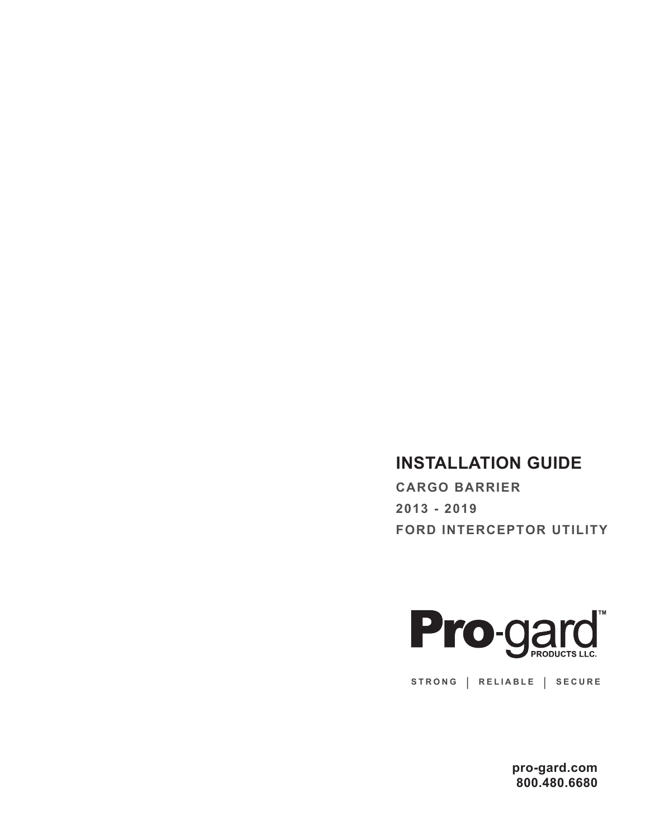## **INSTALLATION GUIDE**

**CARGO BARRIER 2013 - 2019 FORD INTERCEPTOR UTILITY**



**STRONG | RELIABLE | SECURE**

**pro-gard.com 800.480.6680**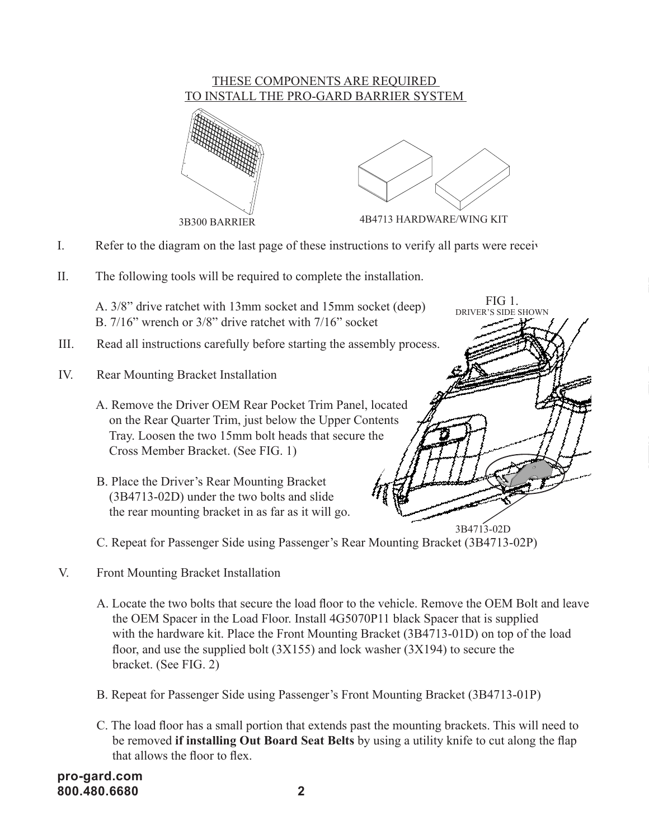

- I. Refer to the diagram on the last page of these instructions to verify all parts were received.
- II. The following tools will be required to complete the installation.

A. 3/8" drive ratchet with 13mm socket and 15mm socket (deep) B. 7/16" wrench or 3/8" drive ratchet with 7/16" socket

- III. Read all instructions carefully before starting the assembly process.
- IV. Rear Mounting Bracket Installation
	- A. Remove the Driver OEM Rear Pocket Trim Panel, located on the Rear Quarter Trim, just below the Upper Contents Tray. Loosen the two 15mm bolt heads that secure the Cross Member Bracket. (See FIG. 1)
	- B. Place the Driver's Rear Mounting Bracket (3B4713-02D) under the two bolts and slide the rear mounting bracket in as far as it will go.

C. Repeat for Passenger Side using Passenger's Rear Mounting Bracket (3B4713-02P)

- V. Front Mounting Bracket Installation
	- A. Locate the two bolts that secure the load floor to the vehicle. Remove the OEM Bolt and leave the OEM Spacer in the Load Floor. Install 4G5070P11 black Spacer that is supplied with the hardware kit. Place the Front Mounting Bracket (3B4713-01D) on top of the load floor, and use the supplied bolt  $(3X155)$  and lock washer  $(3X194)$  to secure the bracket. (See FIG. 2)

3B4713-02D

FIG 1. DRIVER'S SIDE SHOWN

- B. Repeat for Passenger Side using Passenger's Front Mounting Bracket (3B4713-01P)
- C. The load floor has a small portion that extends past the mounting brackets. This will need to be removed **if installing Out Board Seat Belts** by using a utility knife to cut along the flap that allows the floor to flex.

**pro-gard.com 800.480.6680 2**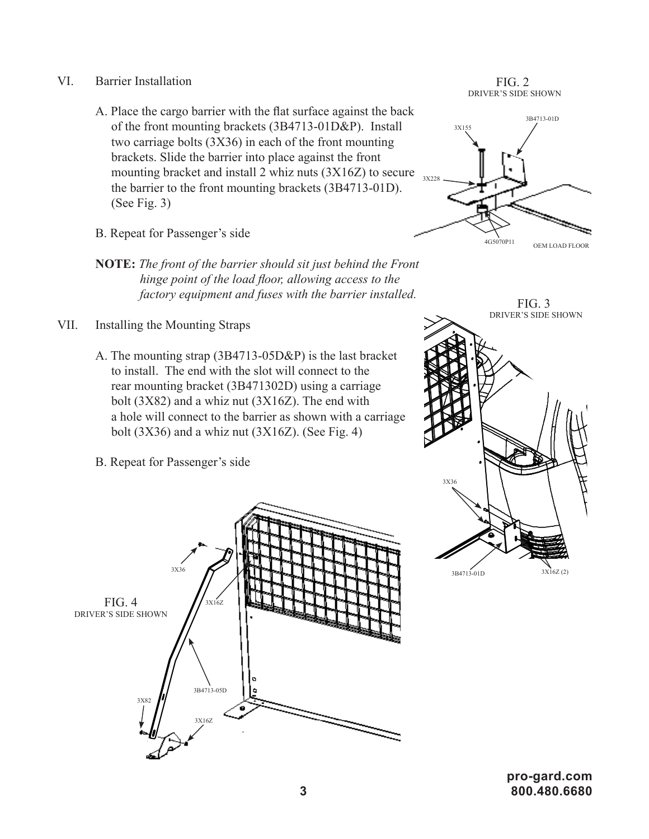- VI. Barrier Installation
	- A. Place the cargo barrier with the flat surface against the back of the front mounting brackets (3B4713-01D&P). Install two carriage bolts (3X36) in each of the front mounting brackets. Slide the barrier into place against the front mounting bracket and install 2 whiz nuts (3X16Z) to secure the barrier to the front mounting brackets (3B4713-01D). (See Fig. 3)
	- B. Repeat for Passenger's side
	- **NOTE:** *The front of the barrier should sit just behind the Front hinge point of the load floor, allowing access to the factory equipment and fuses with the barrier installed.*
- VII. Installing the Mounting Straps
	- A. The mounting strap (3B4713-05D&P) is the last bracket to install. The end with the slot will connect to the rear mounting bracket (3B471302D) using a carriage bolt (3X82) and a whiz nut (3X16Z). The end with a hole will connect to the barrier as shown with a carriage bolt  $(3X36)$  and a whiz nut  $(3X16Z)$ . (See Fig. 4)
	- B. Repeat for Passenger's side



FIG. 2 DRIVER'S SIDE SHOWN





**pro-gard.com 3 800.480.6680**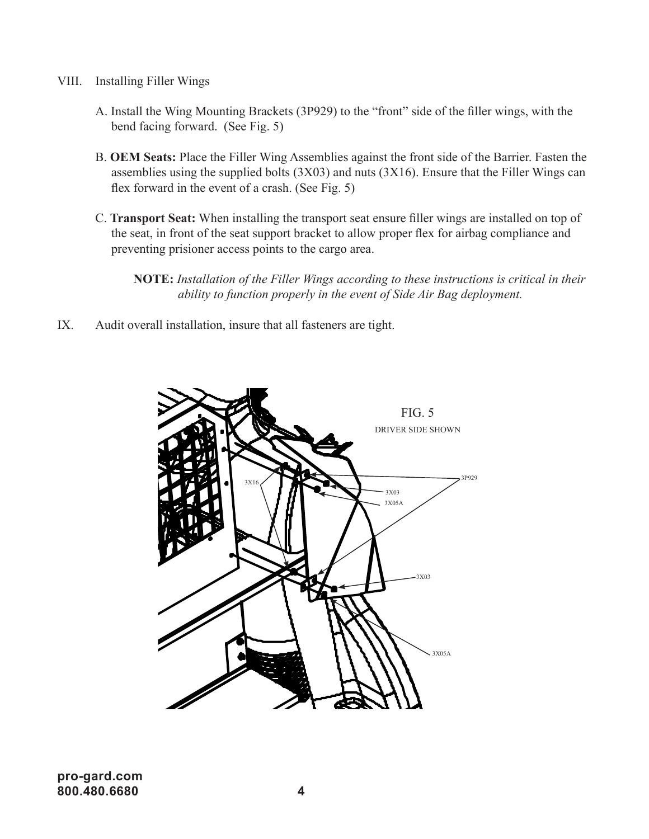- VIII. Installing Filler Wings
	- A. Install the Wing Mounting Brackets (3P929) to the "front" side of the filler wings, with the bend facing forward. (See Fig. 5)
	- B. **OEM Seats:** Place the Filler Wing Assemblies against the front side of the Barrier. Fasten the assemblies using the supplied bolts (3X03) and nuts (3X16). Ensure that the Filler Wings can flex forward in the event of a crash. (See Fig. 5)
	- C. **Transport Seat:** When installing the transport seat ensure filler wings are installed on top of the seat, in front of the seat support bracket to allow proper flex for airbag compliance and preventing prisioner access points to the cargo area.
		- **NOTE:** *Installation of the Filler Wings according to these instructions is critical in their ability to function properly in the event of Side Air Bag deployment.*
- IX. Audit overall installation, insure that all fasteners are tight.